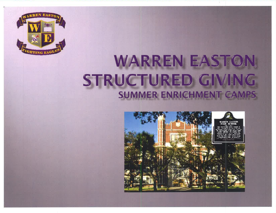

## WARREN EASTO STRUCTURED GIVING **SUMMER ENRICHMENT CAMPS**

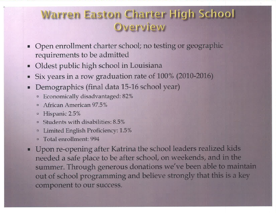## **Warren Easton Charter High School** Overview

- Open enrollment charter school; no testing or geographic requirements to be admitted
- Oldest public high school in Louisiana
- Six years in a row graduation rate of 100% (2010-2016)
- Demographics (final data 15-16 school year)
	- <sup>¤</sup> Economically disadvantaged: 82%
	- <sup>n</sup> African American 97.5%
	- <sup>a</sup> Hispanic 2.5%
	- <sup>¤</sup> Students with disabilities: 8.5%
	- Limited English Proficiency: 1.5%  $\Box$
	- <sup>¤</sup> Total enrollment: 994
- Upon re-opening after Katrina the school leaders realized kids needed a safe place to be after school, on weekends, and in the summer. Through generous donations we've been able to maintain out of school programming and believe strongly that this is a key component to our success.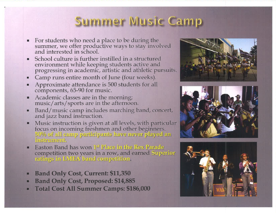## Summer Music Camp

- For students who need a place to be during the<br>summer, we offer productive ways to stay involved<br>and interested in school.  $\blacksquare$
- School culture is further instilled in a structured environment while keeping students active and<br>progressing in academic, artistic and athletic pursuits.
- Camp runs entire month of June (four weeks).  $\blacksquare$
- Approximate attendance is 500 students for all  $\blacksquare$ components, 65-90 for music.
- Academic classes are in the morning; M. music/arts/sports are in the afternoon.
- Band/music camp includes marching band, concert, п and jazz band instruction.
- Music instruction is given at all levels, with particular focus on incoming freshmen and other beginners. 50% of all camp participants have never played an instrument.
- Easton Band has won 1st Place in the Rex Parade competition two years in a row, and earned Superior<br>ratings in LMEA band competition.
- **Band Only Cost, Current: \$11,350** ٠
- **Band Only Cost, Proposed: \$14,885**  $\blacksquare$
- **Total Cost All Summer Camps: \$186,000**  $\blacksquare$